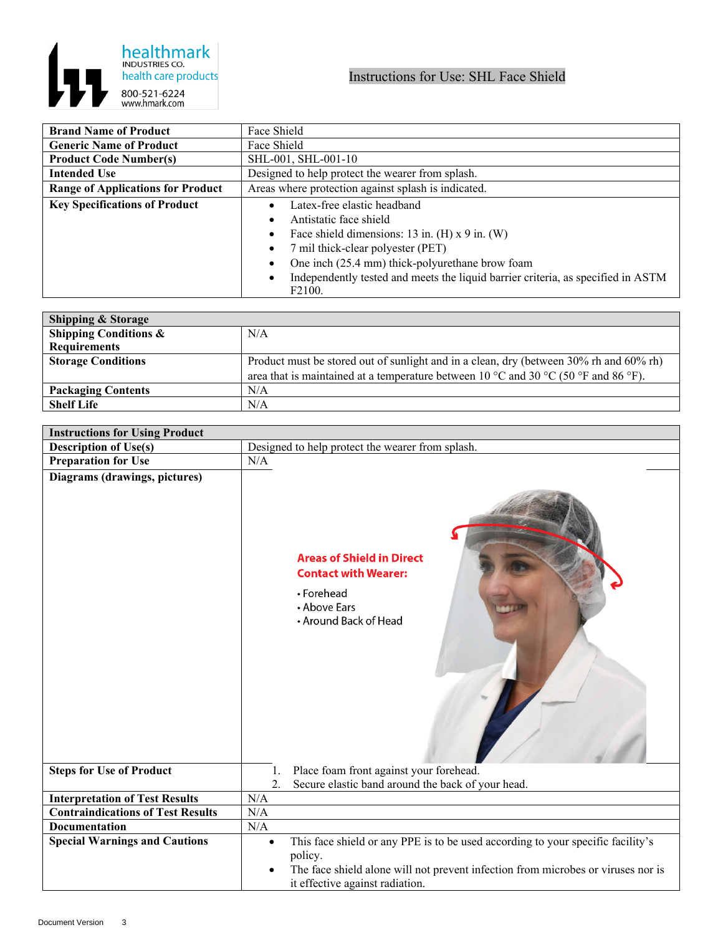

| <b>Brand Name of Product</b>             | Face Shield                                                                                             |
|------------------------------------------|---------------------------------------------------------------------------------------------------------|
| <b>Generic Name of Product</b>           | Face Shield                                                                                             |
| <b>Product Code Number(s)</b>            | SHL-001, SHL-001-10                                                                                     |
| <b>Intended Use</b>                      | Designed to help protect the wearer from splash.                                                        |
| <b>Range of Applications for Product</b> | Areas where protection against splash is indicated.                                                     |
| <b>Key Specifications of Product</b>     | Latex-free elastic headband                                                                             |
|                                          | Antistatic face shield                                                                                  |
|                                          | Face shield dimensions: 13 in. $(H)$ x 9 in. $(W)$                                                      |
|                                          | 7 mil thick-clear polyester (PET)                                                                       |
|                                          | One inch (25.4 mm) thick-polyurethane brow foam                                                         |
|                                          | Independently tested and meets the liquid barrier criteria, as specified in ASTM<br>F <sub>2</sub> 100. |

| <b>Shipping &amp; Storage</b>    |                                                                                        |
|----------------------------------|----------------------------------------------------------------------------------------|
| <b>Shipping Conditions &amp;</b> | N/A                                                                                    |
| <b>Requirements</b>              |                                                                                        |
| <b>Storage Conditions</b>        | Product must be stored out of sunlight and in a clean, dry (between 30% rh and 60% rh) |
|                                  | area that is maintained at a temperature between 10 °C and 30 °C (50 °F and 86 °F).    |
| <b>Packaging Contents</b>        | N/A                                                                                    |
| <b>Shelf Life</b>                | N/A                                                                                    |

| <b>Description of Use(s)</b><br>Designed to help protect the wearer from splash.<br><b>Preparation for Use</b><br>N/A<br>Diagrams (drawings, pictures)<br><b>Areas of Shield in Direct</b><br><b>Contact with Wearer:</b><br>• Forehead<br>• Above Ears<br>• Around Back of Head<br>Place foam front against your forehead.<br><b>Steps for Use of Product</b><br>1.<br>2.<br>Secure elastic band around the back of your head.<br><b>Interpretation of Test Results</b><br>N/A<br><b>Contraindications of Test Results</b><br>N/A<br>N/A<br>Documentation<br><b>Special Warnings and Cautions</b><br>This face shield or any PPE is to be used according to your specific facility's<br>$\bullet$<br>policy.<br>The face shield alone will not prevent infection from microbes or viruses nor is | <b>Instructions for Using Product</b> |  |
|---------------------------------------------------------------------------------------------------------------------------------------------------------------------------------------------------------------------------------------------------------------------------------------------------------------------------------------------------------------------------------------------------------------------------------------------------------------------------------------------------------------------------------------------------------------------------------------------------------------------------------------------------------------------------------------------------------------------------------------------------------------------------------------------------|---------------------------------------|--|
|                                                                                                                                                                                                                                                                                                                                                                                                                                                                                                                                                                                                                                                                                                                                                                                                   |                                       |  |
|                                                                                                                                                                                                                                                                                                                                                                                                                                                                                                                                                                                                                                                                                                                                                                                                   |                                       |  |
|                                                                                                                                                                                                                                                                                                                                                                                                                                                                                                                                                                                                                                                                                                                                                                                                   |                                       |  |
|                                                                                                                                                                                                                                                                                                                                                                                                                                                                                                                                                                                                                                                                                                                                                                                                   |                                       |  |
|                                                                                                                                                                                                                                                                                                                                                                                                                                                                                                                                                                                                                                                                                                                                                                                                   |                                       |  |
|                                                                                                                                                                                                                                                                                                                                                                                                                                                                                                                                                                                                                                                                                                                                                                                                   |                                       |  |
|                                                                                                                                                                                                                                                                                                                                                                                                                                                                                                                                                                                                                                                                                                                                                                                                   |                                       |  |
|                                                                                                                                                                                                                                                                                                                                                                                                                                                                                                                                                                                                                                                                                                                                                                                                   |                                       |  |
| it effective against radiation.                                                                                                                                                                                                                                                                                                                                                                                                                                                                                                                                                                                                                                                                                                                                                                   |                                       |  |